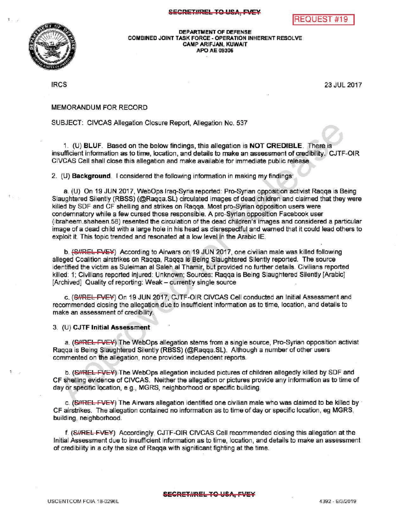



DEPARTMENT OF DEFENSE<br>COMBINED JOINT TASK FORCE - OPERATION IN<br>CAMP ARIFJAN, KUWAIT COMBINED JOINT TASK FORCE - OPERATION INHERENT RESOLVE CAMPARIFJAN, KUWAIT APO AE 09306

IRCS 23 JUL 2017

## MEMORANDUMFOR RECORD

## SUBJECT: CIVCAS Allegation Closure Report, Allegation No. 537

1. (U) BLUF. Based on the below findings, this allegation is NOT CREDIBLE. There is insufficient information as to time, location, and details to make an assessment of credibility. CJTF-OIR CIVCAS Cell shall close this allegation and make available for immediate public release.

2. (U) Background. I considered the following information in making my findings:

a. (U) On 19 JUN 2017, WebOps Iraq-Syria reported: Pro-Syrian opposition activist Raqqa is Being Slaughtered Silently (RBSS) (@Raqqa.SL) circulated images of dead children and claimed that they were killed by SDF and CF shelling and strikes on Raqqa. Most pro-Syrian opposition users were condemnatory while a few cursed those responsible. A pro-Syrian opposition Facebook user (ibraheem.shaheen.58) resented the circulation of the dead children's images and considered a particular image of a dead child with a large hole in his head as disrespectful and warned that it could lead others to exploit it. This topic trended and resonated at a low level in the Arabic IE.

b. (S//REL FVEY) According to Airwars on 19 JUN 2017, one civilian male was killed following alleged Coalition airstrikes on Raqqa, Raqqa is Being Slaughtered Silently reported. The source identified the victim as Suleiman al Saleh al Thamir, but provided no further details. Civilians reported killed: 1; Civilians reported injured: Unknown; Sources: Raqqa is Being Slaughtered Silently [Arabic] [Archived] Quality of reporting: Weak - currently single source

c. (S//REL FVEY) On 19 JUN 2017, CJTF-OIR CIVCAS Cell conducted an Initial Assessment and recommended closing the allegation due to insufficient information as to time, location, and details to make an assessment of credibility.

3. (U) CJTF Initial Assessment

a. (SHREL TVEY) The WebOps allegation stems from a single source, Pro-Syrian opposition activist Ragga is Being Slaughtered Silently (RBSS) (@Ragga.SL). Although a number of other users commented on the allegation, none provided independent reports.

b. (S/REL FVEY) The WebOps allegation included pictures of children allegedly killed by SDF and CF shelling evidence of CIVCAS. Neither the allegation or pictures provide any information as to time of day or specific location, e.g., MGRS, neighborhood or specific building.

c. (SHREL FVEY) The Airwars allegation identified one civilian male who was claimed to be killed by CF airstrikes. The allegation contained no information as to time of day or specific location, eg MGRS, building, neighborhood.

f. (SIREL FVEY) Accordingly, CJTF-OIR CIVCAS Cell recommended closing this allegation at the Initial Assessment due to insufficient information as to time, location, and details to make an assessment of credibility in a city the size of Raqqa with significant fighting at the time.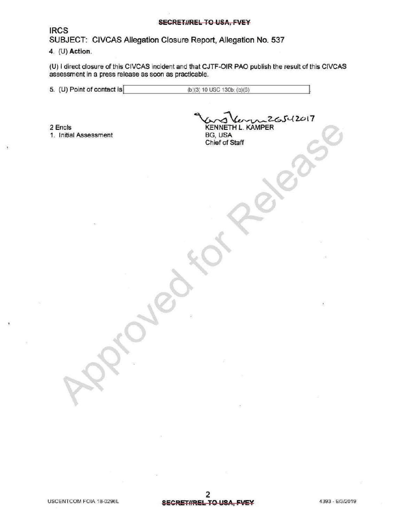## SECRETHREL TO USA, FVEY

**IRCS** 

 $\mathbf{r}$ 

SUBJECT: CIVCAS Allegation Closure Report, Allegation No. 537

## 4. (U) Action

(U) I direct closure of this CIVCAS incident and that CJTF-OIR PAO publish the result of this CIVCAS assessment in a press release as soon as practicable.

5. (U) Point of contact is (b) (3) 10 USC 130b; (b) (6)

2 Encls 1. Initial Assessment

 $26542017$ **KENNETH L. KAMPER** 

forRelease

BG, USA Chief of Staff

 $\mathcal{S}$